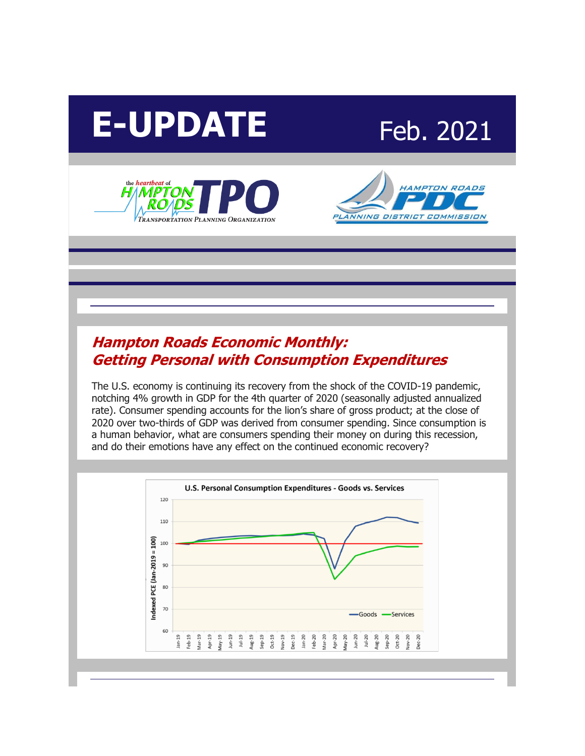# E-UPDATE Feb. 2021







### **[Hampton Roads Economic Monthly:](http://r20.rs6.net/tn.jsp?f=00109oiV3xSkzBt56t-BYS3Ky0guua2w3_6f_oVZw6AFm4jv8x6K6D4zAhBOcLHt4WJos1DQDUqM3QaYXEdS2pr0tB-xNbW2XF2uIvHobpFjC9RigCQHq9s1nhfbOmJdejoCuDlZXV9jo2qW0oNSHEch4kVu-TiKV4sa2_ci9rBcJe1qntYMNEjbAOGxLxyhBSvZ1LZiaccD3U=&c=XSfAaBjmMyFXCK3ogOKQjOLXBjkM5KlVN6duirzYJZldNxpflb4tWQ==&ch=eiZUL1hBDGxnhxxuisvoy75e1qzTe7ccL4uWussI1z544bSHlwyRbg==)  [Getting Personal with Consumption Expenditures](http://r20.rs6.net/tn.jsp?f=00109oiV3xSkzBt56t-BYS3Ky0guua2w3_6f_oVZw6AFm4jv8x6K6D4zAhBOcLHt4WJos1DQDUqM3QaYXEdS2pr0tB-xNbW2XF2uIvHobpFjC9RigCQHq9s1nhfbOmJdejoCuDlZXV9jo2qW0oNSHEch4kVu-TiKV4sa2_ci9rBcJe1qntYMNEjbAOGxLxyhBSvZ1LZiaccD3U=&c=XSfAaBjmMyFXCK3ogOKQjOLXBjkM5KlVN6duirzYJZldNxpflb4tWQ==&ch=eiZUL1hBDGxnhxxuisvoy75e1qzTe7ccL4uWussI1z544bSHlwyRbg==)**

The U.S. economy is continuing its recovery from the shock of the COVID-19 pandemic, notching 4% growth in GDP for the 4th quarter of 2020 (seasonally adjusted annualized rate). Consumer spending accounts for the lion's share of gross product; at the close of 2020 over two-thirds of GDP was derived from consumer spending. Since consumption is a human behavior, what are consumers spending their money on during this recession, and do their emotions have any effect on the continued economic recovery?

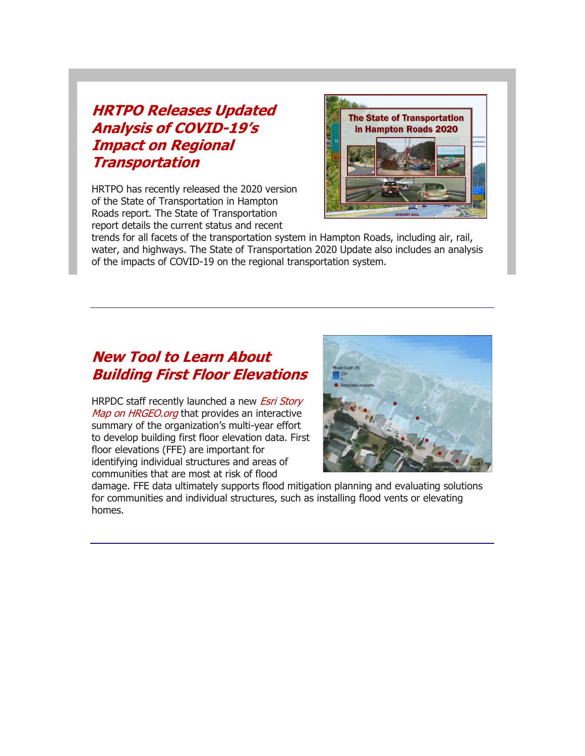### **[HRTPO Releases Updated](http://r20.rs6.net/tn.jsp?f=00109oiV3xSkzBt56t-BYS3Ky0guua2w3_6f_oVZw6AFm4jv8x6K6D4zAhBOcLHt4WJQPSeSDML8baVi13BXkxxcdh-hzID8ooTicOwxhTMsHxLKB5i2JrPdM-TUAzaoOO05JhF_g-blqhK_Qs9jytSoLk7zb2r9DyT7gwzbMhzIrGyDLaduInO3OaFM5MCfFLWvqzpUlCovXIJqIFhmg9nJWOuOG9FvgGBS5sEY9UnnDlnWwnwviM-n0zRaHS4YrCGO_1hf0Mw_e6_bJ1g7RsI8Ansk1V7sxrUOPxWpM2VUSPQhSZ7VzrJ9VBBdpVy0WXi&c=XSfAaBjmMyFXCK3ogOKQjOLXBjkM5KlVN6duirzYJZldNxpflb4tWQ==&ch=eiZUL1hBDGxnhxxuisvoy75e1qzTe7ccL4uWussI1z544bSHlwyRbg==)  [Analysis of COVID-](http://r20.rs6.net/tn.jsp?f=00109oiV3xSkzBt56t-BYS3Ky0guua2w3_6f_oVZw6AFm4jv8x6K6D4zAhBOcLHt4WJQPSeSDML8baVi13BXkxxcdh-hzID8ooTicOwxhTMsHxLKB5i2JrPdM-TUAzaoOO05JhF_g-blqhK_Qs9jytSoLk7zb2r9DyT7gwzbMhzIrGyDLaduInO3OaFM5MCfFLWvqzpUlCovXIJqIFhmg9nJWOuOG9FvgGBS5sEY9UnnDlnWwnwviM-n0zRaHS4YrCGO_1hf0Mw_e6_bJ1g7RsI8Ansk1V7sxrUOPxWpM2VUSPQhSZ7VzrJ9VBBdpVy0WXi&c=XSfAaBjmMyFXCK3ogOKQjOLXBjkM5KlVN6duirzYJZldNxpflb4tWQ==&ch=eiZUL1hBDGxnhxxuisvoy75e1qzTe7ccL4uWussI1z544bSHlwyRbg==)19's [Impact on Regional](http://r20.rs6.net/tn.jsp?f=00109oiV3xSkzBt56t-BYS3Ky0guua2w3_6f_oVZw6AFm4jv8x6K6D4zAhBOcLHt4WJQPSeSDML8baVi13BXkxxcdh-hzID8ooTicOwxhTMsHxLKB5i2JrPdM-TUAzaoOO05JhF_g-blqhK_Qs9jytSoLk7zb2r9DyT7gwzbMhzIrGyDLaduInO3OaFM5MCfFLWvqzpUlCovXIJqIFhmg9nJWOuOG9FvgGBS5sEY9UnnDlnWwnwviM-n0zRaHS4YrCGO_1hf0Mw_e6_bJ1g7RsI8Ansk1V7sxrUOPxWpM2VUSPQhSZ7VzrJ9VBBdpVy0WXi&c=XSfAaBjmMyFXCK3ogOKQjOLXBjkM5KlVN6duirzYJZldNxpflb4tWQ==&ch=eiZUL1hBDGxnhxxuisvoy75e1qzTe7ccL4uWussI1z544bSHlwyRbg==)  [Transportation](http://r20.rs6.net/tn.jsp?f=00109oiV3xSkzBt56t-BYS3Ky0guua2w3_6f_oVZw6AFm4jv8x6K6D4zAhBOcLHt4WJQPSeSDML8baVi13BXkxxcdh-hzID8ooTicOwxhTMsHxLKB5i2JrPdM-TUAzaoOO05JhF_g-blqhK_Qs9jytSoLk7zb2r9DyT7gwzbMhzIrGyDLaduInO3OaFM5MCfFLWvqzpUlCovXIJqIFhmg9nJWOuOG9FvgGBS5sEY9UnnDlnWwnwviM-n0zRaHS4YrCGO_1hf0Mw_e6_bJ1g7RsI8Ansk1V7sxrUOPxWpM2VUSPQhSZ7VzrJ9VBBdpVy0WXi&c=XSfAaBjmMyFXCK3ogOKQjOLXBjkM5KlVN6duirzYJZldNxpflb4tWQ==&ch=eiZUL1hBDGxnhxxuisvoy75e1qzTe7ccL4uWussI1z544bSHlwyRbg==)**

HRTPO has recently released the 2020 version of the State of Transportation in Hampton Roads report. The State of Transportation report details the current status and recent



trends for all facets of the transportation system in Hampton Roads, including air, rail, water, and highways. The State of Transportation 2020 Update also includes an analysis of the impacts of COVID-19 on the regional transportation system.

### **[New Tool to Learn About](http://r20.rs6.net/tn.jsp?f=00109oiV3xSkzBt56t-BYS3Ky0guua2w3_6f_oVZw6AFm4jv8x6K6D4zAhBOcLHt4WJ6Ap19JHveGKCnmK3vMKfYeB0hwi8zsbFyMYSbTiS0DZXWnWVOw-TaAScsdBFidHaKeLOj3Ih-RIMyja8s10u5idM85xo8QsxlXprFnuj2r3HoAXr_I9QXzA2CNijOWMq0qfqH43JpTO5hI8-M4cgnvEBjJgCTTRgqVwTLWR6viGPrYWCeFvjPqj2vhtamfDrIgIjknceiYcpVvL3KUi9xw==&c=XSfAaBjmMyFXCK3ogOKQjOLXBjkM5KlVN6duirzYJZldNxpflb4tWQ==&ch=eiZUL1hBDGxnhxxuisvoy75e1qzTe7ccL4uWussI1z544bSHlwyRbg==)  [Building First Floor Elevations](http://r20.rs6.net/tn.jsp?f=00109oiV3xSkzBt56t-BYS3Ky0guua2w3_6f_oVZw6AFm4jv8x6K6D4zAhBOcLHt4WJ6Ap19JHveGKCnmK3vMKfYeB0hwi8zsbFyMYSbTiS0DZXWnWVOw-TaAScsdBFidHaKeLOj3Ih-RIMyja8s10u5idM85xo8QsxlXprFnuj2r3HoAXr_I9QXzA2CNijOWMq0qfqH43JpTO5hI8-M4cgnvEBjJgCTTRgqVwTLWR6viGPrYWCeFvjPqj2vhtamfDrIgIjknceiYcpVvL3KUi9xw==&c=XSfAaBjmMyFXCK3ogOKQjOLXBjkM5KlVN6duirzYJZldNxpflb4tWQ==&ch=eiZUL1hBDGxnhxxuisvoy75e1qzTe7ccL4uWussI1z544bSHlwyRbg==)**

HRPDC staff recently launched a new *Esri Story* [Map on HRGEO.org](http://r20.rs6.net/tn.jsp?f=00109oiV3xSkzBt56t-BYS3Ky0guua2w3_6f_oVZw6AFm4jv8x6K6D4zAhBOcLHt4WJiZ9hrf6DAvhpI7gABIziflsdlPnWWDXSFqJh5AU15BUl5BckuG2PORCHb_T4hRJJPAFysv55l_66DXDTUsVzlor30lRBD5jvJdL0BYFgs7Pb0lyFIoqGbZeC1WZzZjZk&c=XSfAaBjmMyFXCK3ogOKQjOLXBjkM5KlVN6duirzYJZldNxpflb4tWQ==&ch=eiZUL1hBDGxnhxxuisvoy75e1qzTe7ccL4uWussI1z544bSHlwyRbg==) that provides an interactive summary of the organization's multi-year effort to develop building first floor elevation data. First floor elevations (FFE) are important for identifying individual structures and areas of communities that are most at risk of flood



damage. FFE data ultimately supports flood mitigation planning and evaluating solutions for communities and individual structures, such as installing flood vents or elevating homes.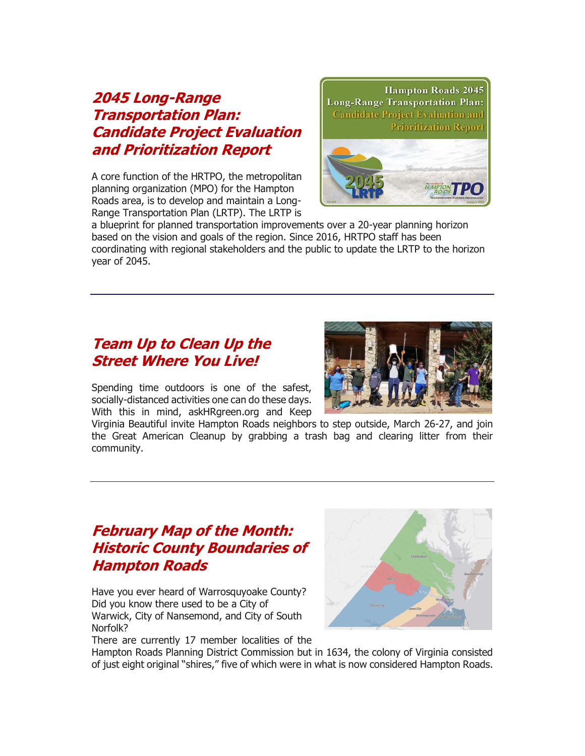### **[2045 Long-Range](http://r20.rs6.net/tn.jsp?f=00109oiV3xSkzBt56t-BYS3Ky0guua2w3_6f_oVZw6AFm4jv8x6K6D4zAhBOcLHt4WJhb979QDSp96IoCtJpbHIZnH3ZI05nhGQjqFtR0g457psdQ_njloVYyXQPSvQYQGR3WEXB2-WF7guRcVmJICDNuSxAbOrKgXNAmyrTsZSlgfmxv1xlH-TkrZxMdb_r-Ti3vw-sy70bvw6cyESIn7nVWYyGgB_domf14t4n2iIinu3jl0upBeNNeS-oIZLGQg0hJwI83d7k2AqRrNiohhiqW4OCT70iaEyZ6f1RQU4t5zoO0e8rc3sf9sPhXgxPvfUvIrWReXjUWc=&c=XSfAaBjmMyFXCK3ogOKQjOLXBjkM5KlVN6duirzYJZldNxpflb4tWQ==&ch=eiZUL1hBDGxnhxxuisvoy75e1qzTe7ccL4uWussI1z544bSHlwyRbg==)  [Transportation Plan:](http://r20.rs6.net/tn.jsp?f=00109oiV3xSkzBt56t-BYS3Ky0guua2w3_6f_oVZw6AFm4jv8x6K6D4zAhBOcLHt4WJhb979QDSp96IoCtJpbHIZnH3ZI05nhGQjqFtR0g457psdQ_njloVYyXQPSvQYQGR3WEXB2-WF7guRcVmJICDNuSxAbOrKgXNAmyrTsZSlgfmxv1xlH-TkrZxMdb_r-Ti3vw-sy70bvw6cyESIn7nVWYyGgB_domf14t4n2iIinu3jl0upBeNNeS-oIZLGQg0hJwI83d7k2AqRrNiohhiqW4OCT70iaEyZ6f1RQU4t5zoO0e8rc3sf9sPhXgxPvfUvIrWReXjUWc=&c=XSfAaBjmMyFXCK3ogOKQjOLXBjkM5KlVN6duirzYJZldNxpflb4tWQ==&ch=eiZUL1hBDGxnhxxuisvoy75e1qzTe7ccL4uWussI1z544bSHlwyRbg==)  [Candidate Project Evaluation](http://r20.rs6.net/tn.jsp?f=00109oiV3xSkzBt56t-BYS3Ky0guua2w3_6f_oVZw6AFm4jv8x6K6D4zAhBOcLHt4WJhb979QDSp96IoCtJpbHIZnH3ZI05nhGQjqFtR0g457psdQ_njloVYyXQPSvQYQGR3WEXB2-WF7guRcVmJICDNuSxAbOrKgXNAmyrTsZSlgfmxv1xlH-TkrZxMdb_r-Ti3vw-sy70bvw6cyESIn7nVWYyGgB_domf14t4n2iIinu3jl0upBeNNeS-oIZLGQg0hJwI83d7k2AqRrNiohhiqW4OCT70iaEyZ6f1RQU4t5zoO0e8rc3sf9sPhXgxPvfUvIrWReXjUWc=&c=XSfAaBjmMyFXCK3ogOKQjOLXBjkM5KlVN6duirzYJZldNxpflb4tWQ==&ch=eiZUL1hBDGxnhxxuisvoy75e1qzTe7ccL4uWussI1z544bSHlwyRbg==)  [and Prioritization Report](http://r20.rs6.net/tn.jsp?f=00109oiV3xSkzBt56t-BYS3Ky0guua2w3_6f_oVZw6AFm4jv8x6K6D4zAhBOcLHt4WJhb979QDSp96IoCtJpbHIZnH3ZI05nhGQjqFtR0g457psdQ_njloVYyXQPSvQYQGR3WEXB2-WF7guRcVmJICDNuSxAbOrKgXNAmyrTsZSlgfmxv1xlH-TkrZxMdb_r-Ti3vw-sy70bvw6cyESIn7nVWYyGgB_domf14t4n2iIinu3jl0upBeNNeS-oIZLGQg0hJwI83d7k2AqRrNiohhiqW4OCT70iaEyZ6f1RQU4t5zoO0e8rc3sf9sPhXgxPvfUvIrWReXjUWc=&c=XSfAaBjmMyFXCK3ogOKQjOLXBjkM5KlVN6duirzYJZldNxpflb4tWQ==&ch=eiZUL1hBDGxnhxxuisvoy75e1qzTe7ccL4uWussI1z544bSHlwyRbg==)**

A core function of the HRTPO, the metropolitan planning organization (MPO) for the Hampton Roads area, is to develop and maintain a Long-Range Transportation Plan (LRTP). The LRTP is



a blueprint for planned transportation improvements over a 20-year planning horizon based on the vision and goals of the region. Since 2016, HRTPO staff has been coordinating with regional stakeholders and the public to update the LRTP to the horizon year of 2045.

### **[Team Up to Clean Up the](http://r20.rs6.net/tn.jsp?f=00109oiV3xSkzBt56t-BYS3Ky0guua2w3_6f_oVZw6AFm4jv8x6K6D4zAhBOcLHt4WJbWM6Lo0h8uJcqPSLZnWdL69CyXrnvPn0HnhRByxkI91YseIkAetQQGlXo6kXRgicxjfSQi_77GiYksTqN-lrlchjGBrO3n56kPcnvkzzT5hD3NhyOZzEptqRzXnKU141_QdEgM9dNYa72APvgIRRVhyWItA9AkZRlHSKgATsfZ9Tpwkyu1TcCSisQEsLIbbhuok9XlFnZ5w=&c=XSfAaBjmMyFXCK3ogOKQjOLXBjkM5KlVN6duirzYJZldNxpflb4tWQ==&ch=eiZUL1hBDGxnhxxuisvoy75e1qzTe7ccL4uWussI1z544bSHlwyRbg==)  [Street Where You Live!](http://r20.rs6.net/tn.jsp?f=00109oiV3xSkzBt56t-BYS3Ky0guua2w3_6f_oVZw6AFm4jv8x6K6D4zAhBOcLHt4WJbWM6Lo0h8uJcqPSLZnWdL69CyXrnvPn0HnhRByxkI91YseIkAetQQGlXo6kXRgicxjfSQi_77GiYksTqN-lrlchjGBrO3n56kPcnvkzzT5hD3NhyOZzEptqRzXnKU141_QdEgM9dNYa72APvgIRRVhyWItA9AkZRlHSKgATsfZ9Tpwkyu1TcCSisQEsLIbbhuok9XlFnZ5w=&c=XSfAaBjmMyFXCK3ogOKQjOLXBjkM5KlVN6duirzYJZldNxpflb4tWQ==&ch=eiZUL1hBDGxnhxxuisvoy75e1qzTe7ccL4uWussI1z544bSHlwyRbg==)**

Spending time outdoors is one of the safest, socially-distanced activities one can do these days. With this in mind, askHRgreen.org and Keep



Virginia Beautiful invite Hampton Roads neighbors to step outside, March 26-27, and join the Great American Cleanup by grabbing a trash bag and clearing litter from their community.

### **[February Map of the Month:](http://r20.rs6.net/tn.jsp?f=00109oiV3xSkzBt56t-BYS3Ky0guua2w3_6f_oVZw6AFm4jv8x6K6D4zAhBOcLHt4WJbEkur68WIw1GcBRGjlk7esNtIpoPtyYJ0Vnp62H-R9gZnySts34OPMiMB_-6w8E1-GRTPiAS7XyewICQvhBT3z9AlheMzToYK4NevNbK7FJnnxFQ3HIVkRmKEcO5VxbgmA4V-Ucz0xkQjNTveWWg-s9-Kf2KwXGZQqdyldbyCBzLEaUeCcR9lCz9Py8t1zMDDPO90IKQHlAYLYSRF_khDTBuSVJBbb5v_6-b6KrKNXE=&c=XSfAaBjmMyFXCK3ogOKQjOLXBjkM5KlVN6duirzYJZldNxpflb4tWQ==&ch=eiZUL1hBDGxnhxxuisvoy75e1qzTe7ccL4uWussI1z544bSHlwyRbg==)  [Historic County Boundaries of](http://r20.rs6.net/tn.jsp?f=00109oiV3xSkzBt56t-BYS3Ky0guua2w3_6f_oVZw6AFm4jv8x6K6D4zAhBOcLHt4WJbEkur68WIw1GcBRGjlk7esNtIpoPtyYJ0Vnp62H-R9gZnySts34OPMiMB_-6w8E1-GRTPiAS7XyewICQvhBT3z9AlheMzToYK4NevNbK7FJnnxFQ3HIVkRmKEcO5VxbgmA4V-Ucz0xkQjNTveWWg-s9-Kf2KwXGZQqdyldbyCBzLEaUeCcR9lCz9Py8t1zMDDPO90IKQHlAYLYSRF_khDTBuSVJBbb5v_6-b6KrKNXE=&c=XSfAaBjmMyFXCK3ogOKQjOLXBjkM5KlVN6duirzYJZldNxpflb4tWQ==&ch=eiZUL1hBDGxnhxxuisvoy75e1qzTe7ccL4uWussI1z544bSHlwyRbg==)  [Hampton Roads](http://r20.rs6.net/tn.jsp?f=00109oiV3xSkzBt56t-BYS3Ky0guua2w3_6f_oVZw6AFm4jv8x6K6D4zAhBOcLHt4WJbEkur68WIw1GcBRGjlk7esNtIpoPtyYJ0Vnp62H-R9gZnySts34OPMiMB_-6w8E1-GRTPiAS7XyewICQvhBT3z9AlheMzToYK4NevNbK7FJnnxFQ3HIVkRmKEcO5VxbgmA4V-Ucz0xkQjNTveWWg-s9-Kf2KwXGZQqdyldbyCBzLEaUeCcR9lCz9Py8t1zMDDPO90IKQHlAYLYSRF_khDTBuSVJBbb5v_6-b6KrKNXE=&c=XSfAaBjmMyFXCK3ogOKQjOLXBjkM5KlVN6duirzYJZldNxpflb4tWQ==&ch=eiZUL1hBDGxnhxxuisvoy75e1qzTe7ccL4uWussI1z544bSHlwyRbg==)**

Have you ever heard of Warrosquyoake County? Did you know there used to be a City of Warwick, City of Nansemond, and City of South Norfolk?



There are currently 17 member localities of the

Hampton Roads Planning District Commission but in 1634, the colony of Virginia consisted of just eight original "shires," five of which were in what is now considered Hampton Roads.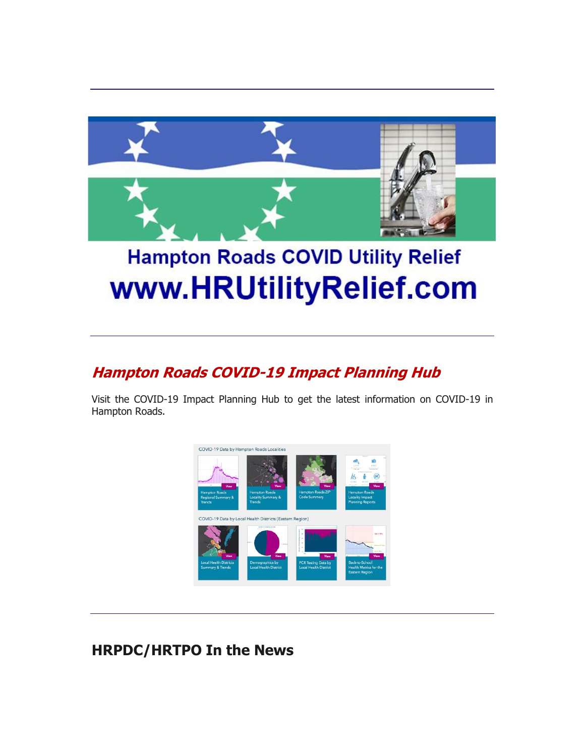

# **Hampton Roads COVID Utility Relief** www.HRUtilityRelief.com

### **[Hampton Roads COVID-19 Impact Planning Hub](http://r20.rs6.net/tn.jsp?f=00109oiV3xSkzBt56t-BYS3Ky0guua2w3_6f_oVZw6AFm4jv8x6K6D4zHe2BokfPArJwGuumRae-o08uxFM4IYiwVDJmqecShKtsip-hX8GsSCiNoGEfLR9GoJ9BT7iVCIGU4SNZDLcNHBE9S-e6N0_51NYZdc4LNIK2PixqDXpO78=&c=XSfAaBjmMyFXCK3ogOKQjOLXBjkM5KlVN6duirzYJZldNxpflb4tWQ==&ch=eiZUL1hBDGxnhxxuisvoy75e1qzTe7ccL4uWussI1z544bSHlwyRbg==)**

Visit the COVID-19 Impact Planning Hub to get the latest information on COVID-19 in Hampton Roads.



### **HRPDC/HRTPO In the News**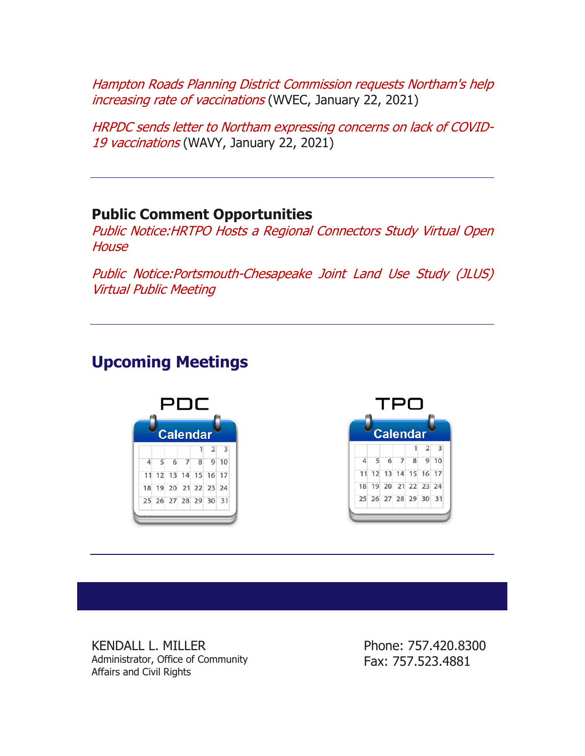[Hampton Roads Planning District Commission requests Northam's help](http://r20.rs6.net/tn.jsp?f=00109oiV3xSkzBt56t-BYS3Ky0guua2w3_6f_oVZw6AFm4jv8x6K6D4zAhBOcLHt4WJnOeRuXP238uXLoyuyvlKnUWaTnbZc7oocSQYxF3THtn6muMlsVmnxpV_k1UXnZ-sWr5HGxG3tdbp7-wMkI4p9zWsMIZ4wfkNlkNvpon_PIg77EYDgZ9FAmjFRnTGuXOvAneqTOTseJCAhZPiAuCJ9hgUbdI2cuqs85N40fqSJcZ1kcNkRkAhc3QzdAxcPyBoOr2SI7BwNX4OtZKLCKsmUISkl0OWY4EihOxbdKRqS8Mv2qStu8RyeQgOEztrHTHAShkKPUbEJ0_qHICGdJ5SEaZZ8TDkS-DeZQPt261o-wG-Gj65LViWVBVPHVXlUS5a&c=XSfAaBjmMyFXCK3ogOKQjOLXBjkM5KlVN6duirzYJZldNxpflb4tWQ==&ch=eiZUL1hBDGxnhxxuisvoy75e1qzTe7ccL4uWussI1z544bSHlwyRbg==)  [increasing rate of vaccinations](http://r20.rs6.net/tn.jsp?f=00109oiV3xSkzBt56t-BYS3Ky0guua2w3_6f_oVZw6AFm4jv8x6K6D4zAhBOcLHt4WJnOeRuXP238uXLoyuyvlKnUWaTnbZc7oocSQYxF3THtn6muMlsVmnxpV_k1UXnZ-sWr5HGxG3tdbp7-wMkI4p9zWsMIZ4wfkNlkNvpon_PIg77EYDgZ9FAmjFRnTGuXOvAneqTOTseJCAhZPiAuCJ9hgUbdI2cuqs85N40fqSJcZ1kcNkRkAhc3QzdAxcPyBoOr2SI7BwNX4OtZKLCKsmUISkl0OWY4EihOxbdKRqS8Mv2qStu8RyeQgOEztrHTHAShkKPUbEJ0_qHICGdJ5SEaZZ8TDkS-DeZQPt261o-wG-Gj65LViWVBVPHVXlUS5a&c=XSfAaBjmMyFXCK3ogOKQjOLXBjkM5KlVN6duirzYJZldNxpflb4tWQ==&ch=eiZUL1hBDGxnhxxuisvoy75e1qzTe7ccL4uWussI1z544bSHlwyRbg==) (WVEC, January 22, 2021)

[HRPDC sends letter to Northam expressing concerns on lack of COVID-](http://r20.rs6.net/tn.jsp?f=00109oiV3xSkzBt56t-BYS3Ky0guua2w3_6f_oVZw6AFm4jv8x6K6D4zAhBOcLHt4WJcGKIj8EtvLDq04lthcV7Vq517URjXpFRXsMz-REf2K_TS9RufBxUBOTsi4a_Wg6PYZzoyBHK0AuGvsXrMqM-u3BepcxMpnpdqXXX2kkMpPh70GpFZoAHfts5ZP9BLHGxORLX17SooL1vlBj_Uy4pcrLMKiUkaDSlmqHa9IRnoSjDpIxnWbdexT42yt_SS6XfKBgrX2LAhMauBVARdU2LWg==&c=XSfAaBjmMyFXCK3ogOKQjOLXBjkM5KlVN6duirzYJZldNxpflb4tWQ==&ch=eiZUL1hBDGxnhxxuisvoy75e1qzTe7ccL4uWussI1z544bSHlwyRbg==)[19 vaccinations](http://r20.rs6.net/tn.jsp?f=00109oiV3xSkzBt56t-BYS3Ky0guua2w3_6f_oVZw6AFm4jv8x6K6D4zAhBOcLHt4WJcGKIj8EtvLDq04lthcV7Vq517URjXpFRXsMz-REf2K_TS9RufBxUBOTsi4a_Wg6PYZzoyBHK0AuGvsXrMqM-u3BepcxMpnpdqXXX2kkMpPh70GpFZoAHfts5ZP9BLHGxORLX17SooL1vlBj_Uy4pcrLMKiUkaDSlmqHa9IRnoSjDpIxnWbdexT42yt_SS6XfKBgrX2LAhMauBVARdU2LWg==&c=XSfAaBjmMyFXCK3ogOKQjOLXBjkM5KlVN6duirzYJZldNxpflb4tWQ==&ch=eiZUL1hBDGxnhxxuisvoy75e1qzTe7ccL4uWussI1z544bSHlwyRbg==) (WAVY, January 22, 2021)

### **Public Comment Opportunities**

[Public Notice:HRTPO Hosts a Regional Connectors Study](http://r20.rs6.net/tn.jsp?f=00109oiV3xSkzBt56t-BYS3Ky0guua2w3_6f_oVZw6AFm4jv8x6K6D4zAhBOcLHt4WJRRX3dtj0xVE9ocGqSf3622M184CPF5agwQBiswiZCrWdNZf6lt-YsmX3RSgOsutIOSvraJ0Ay_h-rjd6TRk1ywAO47gxmHRVsf0WWL8jfDBSj9UMCc7TiA2nFAzo8T5FwGL4XkduaVN7y_LDja68usYj41mfJx_oMKeJi-WulK_iDB1lX-RID970jcMaFAP3eCWz8hZEBIkOlRTZEq6aAA==&c=XSfAaBjmMyFXCK3ogOKQjOLXBjkM5KlVN6duirzYJZldNxpflb4tWQ==&ch=eiZUL1hBDGxnhxxuisvoy75e1qzTe7ccL4uWussI1z544bSHlwyRbg==) Virtual Open **[House](http://r20.rs6.net/tn.jsp?f=00109oiV3xSkzBt56t-BYS3Ky0guua2w3_6f_oVZw6AFm4jv8x6K6D4zAhBOcLHt4WJRRX3dtj0xVE9ocGqSf3622M184CPF5agwQBiswiZCrWdNZf6lt-YsmX3RSgOsutIOSvraJ0Ay_h-rjd6TRk1ywAO47gxmHRVsf0WWL8jfDBSj9UMCc7TiA2nFAzo8T5FwGL4XkduaVN7y_LDja68usYj41mfJx_oMKeJi-WulK_iDB1lX-RID970jcMaFAP3eCWz8hZEBIkOlRTZEq6aAA==&c=XSfAaBjmMyFXCK3ogOKQjOLXBjkM5KlVN6duirzYJZldNxpflb4tWQ==&ch=eiZUL1hBDGxnhxxuisvoy75e1qzTe7ccL4uWussI1z544bSHlwyRbg==)** 

[Public Notice:Portsmouth-Chesapeake Joint Land Use Study \(JLUS\)](http://r20.rs6.net/tn.jsp?f=00109oiV3xSkzBt56t-BYS3Ky0guua2w3_6f_oVZw6AFm4jv8x6K6D4zAhBOcLHt4WJV2y6Kf9GrvMNvMonqSdKB7xUQ4f9iVhMcsPp69DMFCVu_4d-FAFAs4-VKgEdz1HjucHsdjbRNisPR1C9BEcXRGX7ziV5-BxuFup_x0aNB_f_jW8ZgNuodBYItKSXHv1_sbl318NBEPI5fvhuaWpF2sgyawhzoyWeV3ESwuBJ1FbxNOUZBlJCVZF0NKZCTMi3UD-7yTtntzMSvs-sx3kdzFWyStNVNflJwDswlUcChRND58-E2O2biaxedFIRSBnN&c=XSfAaBjmMyFXCK3ogOKQjOLXBjkM5KlVN6duirzYJZldNxpflb4tWQ==&ch=eiZUL1hBDGxnhxxuisvoy75e1qzTe7ccL4uWussI1z544bSHlwyRbg==)  [Virtual Public Meeting](http://r20.rs6.net/tn.jsp?f=00109oiV3xSkzBt56t-BYS3Ky0guua2w3_6f_oVZw6AFm4jv8x6K6D4zAhBOcLHt4WJV2y6Kf9GrvMNvMonqSdKB7xUQ4f9iVhMcsPp69DMFCVu_4d-FAFAs4-VKgEdz1HjucHsdjbRNisPR1C9BEcXRGX7ziV5-BxuFup_x0aNB_f_jW8ZgNuodBYItKSXHv1_sbl318NBEPI5fvhuaWpF2sgyawhzoyWeV3ESwuBJ1FbxNOUZBlJCVZF0NKZCTMi3UD-7yTtntzMSvs-sx3kdzFWyStNVNflJwDswlUcChRND58-E2O2biaxedFIRSBnN&c=XSfAaBjmMyFXCK3ogOKQjOLXBjkM5KlVN6duirzYJZldNxpflb4tWQ==&ch=eiZUL1hBDGxnhxxuisvoy75e1qzTe7ccL4uWussI1z544bSHlwyRbg==)

## **Upcoming Meetings**



KENDALL L. MILLER Administrator, Office of Community Affairs and Civil Rights

Phone: 757.420.8300 Fax: 757.523.4881